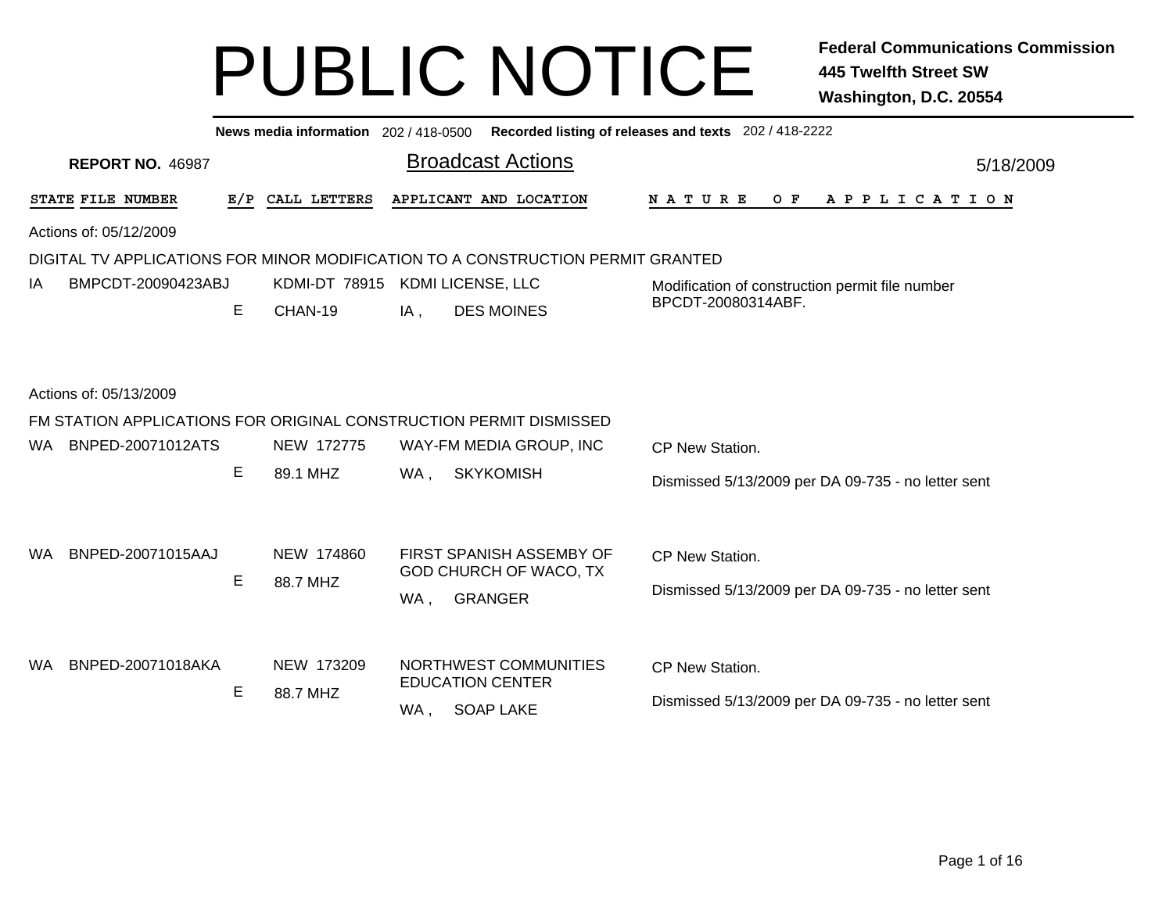|                                                                                 |     | News media information 202 / 418-0500 |     |                                                           | Recorded listing of releases and texts 202 / 418-2222 |           |  |  |  |  |  |
|---------------------------------------------------------------------------------|-----|---------------------------------------|-----|-----------------------------------------------------------|-------------------------------------------------------|-----------|--|--|--|--|--|
| <b>REPORT NO. 46987</b>                                                         |     |                                       |     | <b>Broadcast Actions</b>                                  |                                                       | 5/18/2009 |  |  |  |  |  |
| STATE FILE NUMBER                                                               | E/P | CALL LETTERS                          |     | APPLICANT AND LOCATION                                    | OF APPLICATION<br>N A T U R E                         |           |  |  |  |  |  |
| Actions of: 05/12/2009                                                          |     |                                       |     |                                                           |                                                       |           |  |  |  |  |  |
| DIGITAL TV APPLICATIONS FOR MINOR MODIFICATION TO A CONSTRUCTION PERMIT GRANTED |     |                                       |     |                                                           |                                                       |           |  |  |  |  |  |
| BMPCDT-20090423ABJ<br>IA                                                        |     | KDMI-DT 78915                         |     | KDMI LICENSE, LLC                                         | Modification of construction permit file number       |           |  |  |  |  |  |
|                                                                                 | E   | CHAN-19                               | IA, | <b>DES MOINES</b>                                         | BPCDT-20080314ABF.                                    |           |  |  |  |  |  |
|                                                                                 |     |                                       |     |                                                           |                                                       |           |  |  |  |  |  |
| Actions of: 05/13/2009                                                          |     |                                       |     |                                                           |                                                       |           |  |  |  |  |  |
| FM STATION APPLICATIONS FOR ORIGINAL CONSTRUCTION PERMIT DISMISSED              |     |                                       |     |                                                           |                                                       |           |  |  |  |  |  |
| BNPED-20071012ATS<br>WA.                                                        |     | NEW 172775                            |     | WAY-FM MEDIA GROUP, INC                                   | CP New Station.                                       |           |  |  |  |  |  |
|                                                                                 | E   | 89.1 MHZ                              | WA, | <b>SKYKOMISH</b>                                          | Dismissed 5/13/2009 per DA 09-735 - no letter sent    |           |  |  |  |  |  |
|                                                                                 |     |                                       |     |                                                           |                                                       |           |  |  |  |  |  |
|                                                                                 |     |                                       |     |                                                           |                                                       |           |  |  |  |  |  |
| BNPED-20071015AAJ<br>WA.                                                        |     | NEW 174860                            |     | FIRST SPANISH ASSEMBY OF<br><b>GOD CHURCH OF WACO, TX</b> | CP New Station.                                       |           |  |  |  |  |  |
|                                                                                 | Е   | 88.7 MHZ                              | WA, | <b>GRANGER</b>                                            | Dismissed 5/13/2009 per DA 09-735 - no letter sent    |           |  |  |  |  |  |
|                                                                                 |     |                                       |     |                                                           |                                                       |           |  |  |  |  |  |
|                                                                                 |     |                                       |     |                                                           |                                                       |           |  |  |  |  |  |
| BNPED-20071018AKA<br>WA.                                                        |     | NEW 173209                            |     | NORTHWEST COMMUNITIES<br><b>EDUCATION CENTER</b>          | CP New Station.                                       |           |  |  |  |  |  |
|                                                                                 | Е   | 88.7 MHZ                              | WA, | <b>SOAP LAKE</b>                                          | Dismissed 5/13/2009 per DA 09-735 - no letter sent    |           |  |  |  |  |  |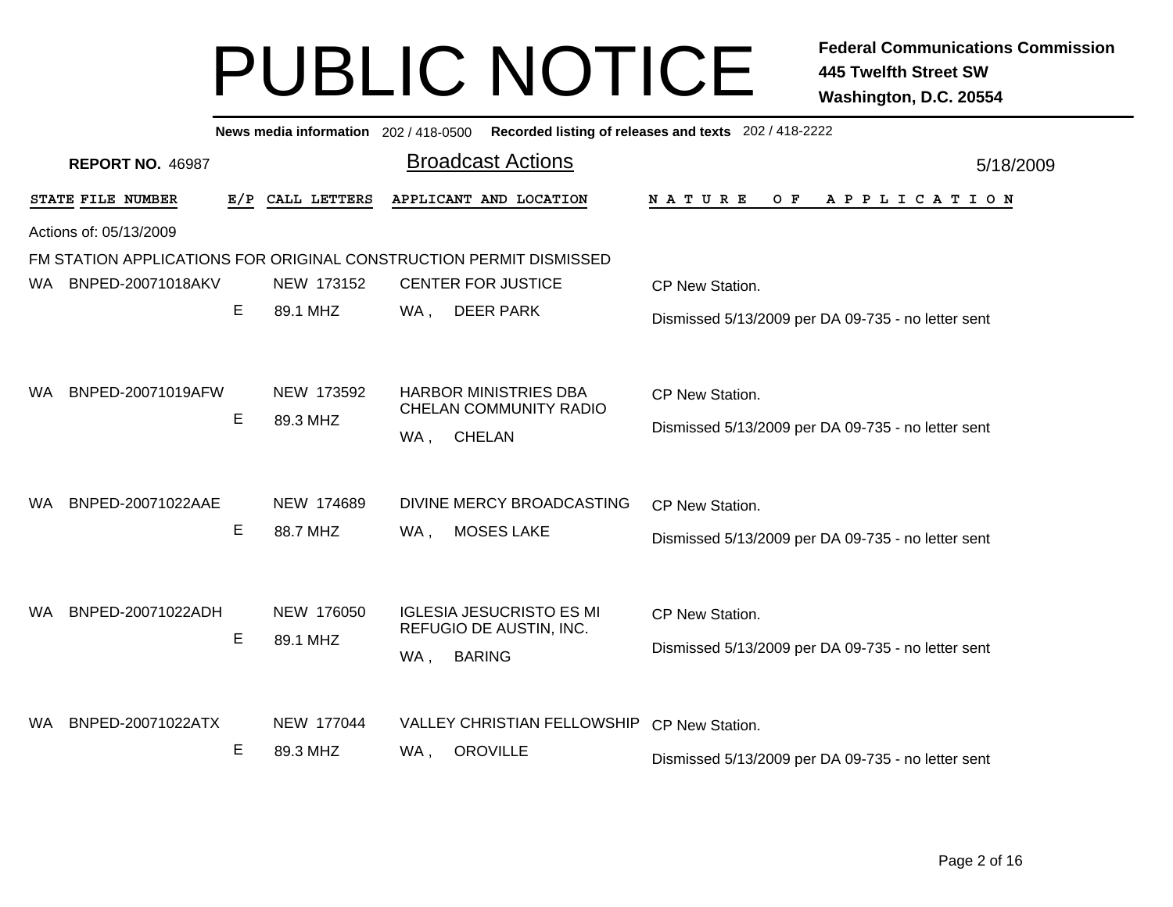| Recorded listing of releases and texts 202 / 418-2222<br>News media information 202 / 418-0500 |     |              |                                                            |  |                                                    |           |  |  |  |  |  |
|------------------------------------------------------------------------------------------------|-----|--------------|------------------------------------------------------------|--|----------------------------------------------------|-----------|--|--|--|--|--|
| <b>REPORT NO. 46987</b>                                                                        |     |              | <b>Broadcast Actions</b>                                   |  |                                                    | 5/18/2009 |  |  |  |  |  |
| STATE FILE NUMBER                                                                              | E/P | CALL LETTERS | APPLICANT AND LOCATION                                     |  | <b>NATURE</b><br>O F<br>A P P L I C A T I O N      |           |  |  |  |  |  |
| Actions of: 05/13/2009                                                                         |     |              |                                                            |  |                                                    |           |  |  |  |  |  |
| FM STATION APPLICATIONS FOR ORIGINAL CONSTRUCTION PERMIT DISMISSED                             |     |              |                                                            |  |                                                    |           |  |  |  |  |  |
| BNPED-20071018AKV<br>WA.                                                                       |     | NEW 173152   | <b>CENTER FOR JUSTICE</b>                                  |  | CP New Station.                                    |           |  |  |  |  |  |
|                                                                                                | E   | 89.1 MHZ     | WA,<br><b>DEER PARK</b>                                    |  | Dismissed 5/13/2009 per DA 09-735 - no letter sent |           |  |  |  |  |  |
|                                                                                                |     |              |                                                            |  |                                                    |           |  |  |  |  |  |
| BNPED-20071019AFW<br>WA.                                                                       |     | NEW 173592   | <b>HARBOR MINISTRIES DBA</b>                               |  | CP New Station.                                    |           |  |  |  |  |  |
|                                                                                                | E   | 89.3 MHZ     | <b>CHELAN COMMUNITY RADIO</b>                              |  | Dismissed 5/13/2009 per DA 09-735 - no letter sent |           |  |  |  |  |  |
|                                                                                                |     |              | <b>CHELAN</b><br>WA,                                       |  |                                                    |           |  |  |  |  |  |
| BNPED-20071022AAE<br><b>WA</b>                                                                 |     | NEW 174689   | DIVINE MERCY BROADCASTING                                  |  | CP New Station.                                    |           |  |  |  |  |  |
|                                                                                                | Е   | 88.7 MHZ     | <b>MOSES LAKE</b><br>WA,                                   |  |                                                    |           |  |  |  |  |  |
|                                                                                                |     |              |                                                            |  | Dismissed 5/13/2009 per DA 09-735 - no letter sent |           |  |  |  |  |  |
|                                                                                                |     |              |                                                            |  |                                                    |           |  |  |  |  |  |
| BNPED-20071022ADH<br>WA.                                                                       |     | NEW 176050   | <b>IGLESIA JESUCRISTO ES MI</b><br>REFUGIO DE AUSTIN, INC. |  | CP New Station.                                    |           |  |  |  |  |  |
|                                                                                                | Е   | 89.1 MHZ     | <b>BARING</b><br>WA,                                       |  | Dismissed 5/13/2009 per DA 09-735 - no letter sent |           |  |  |  |  |  |
|                                                                                                |     |              |                                                            |  |                                                    |           |  |  |  |  |  |
| BNPED-20071022ATX<br>WA.                                                                       |     | NEW 177044   | <b>VALLEY CHRISTIAN FELLOWSHIP</b>                         |  | CP New Station.                                    |           |  |  |  |  |  |
|                                                                                                | Е   | 89.3 MHZ     | <b>OROVILLE</b><br>WA,                                     |  | Dismissed 5/13/2009 per DA 09-735 - no letter sent |           |  |  |  |  |  |
|                                                                                                |     |              |                                                            |  |                                                    |           |  |  |  |  |  |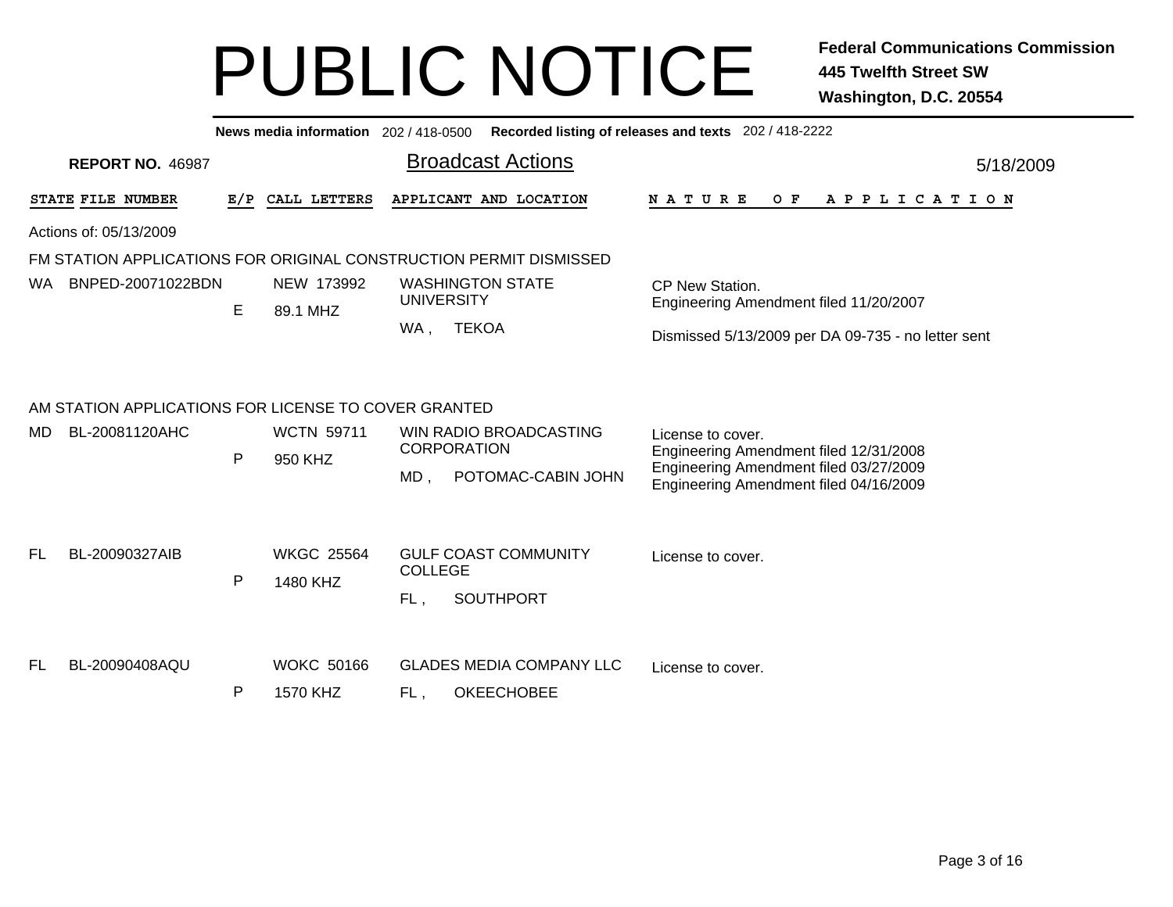|                                                                    |              | News media information 202/418-0500 |                |                                              | Recorded listing of releases and texts 202 / 418-2222                            |
|--------------------------------------------------------------------|--------------|-------------------------------------|----------------|----------------------------------------------|----------------------------------------------------------------------------------|
| <b>REPORT NO. 46987</b>                                            |              |                                     |                | <b>Broadcast Actions</b>                     | 5/18/2009                                                                        |
| STATE FILE NUMBER                                                  |              | E/P CALL LETTERS                    |                | APPLICANT AND LOCATION                       | NATURE<br>O F<br>A P P L I C A T I O N                                           |
| Actions of: 05/13/2009                                             |              |                                     |                |                                              |                                                                                  |
| FM STATION APPLICATIONS FOR ORIGINAL CONSTRUCTION PERMIT DISMISSED |              |                                     |                |                                              |                                                                                  |
| BNPED-20071022BDN<br>WA.                                           | E            | NEW 173992<br>89.1 MHZ              |                | <b>WASHINGTON STATE</b><br><b>UNIVERSITY</b> | CP New Station.<br>Engineering Amendment filed 11/20/2007                        |
|                                                                    |              |                                     | WA,            | <b>TEKOA</b>                                 | Dismissed 5/13/2009 per DA 09-735 - no letter sent                               |
| AM STATION APPLICATIONS FOR LICENSE TO COVER GRANTED               |              |                                     |                |                                              |                                                                                  |
| BL-20081120AHC<br>MD.                                              | $\mathsf{P}$ | <b>WCTN 59711</b><br>950 KHZ        |                | WIN RADIO BROADCASTING<br><b>CORPORATION</b> | License to cover.<br>Engineering Amendment filed 12/31/2008                      |
|                                                                    |              |                                     | MD,            | POTOMAC-CABIN JOHN                           | Engineering Amendment filed 03/27/2009<br>Engineering Amendment filed 04/16/2009 |
| BL-20090327AIB<br>FL.                                              |              | <b>WKGC 25564</b>                   |                | <b>GULF COAST COMMUNITY</b>                  | License to cover.                                                                |
|                                                                    | $\mathsf{P}$ | 1480 KHZ                            | <b>COLLEGE</b> |                                              |                                                                                  |
|                                                                    |              |                                     | FL,            | <b>SOUTHPORT</b>                             |                                                                                  |
| BL-20090408AQU<br>FL                                               |              | <b>WOKC 50166</b>                   |                | <b>GLADES MEDIA COMPANY LLC</b>              | License to cover.                                                                |
|                                                                    | $\mathsf{P}$ | 1570 KHZ                            | FL,            | <b>OKEECHOBEE</b>                            |                                                                                  |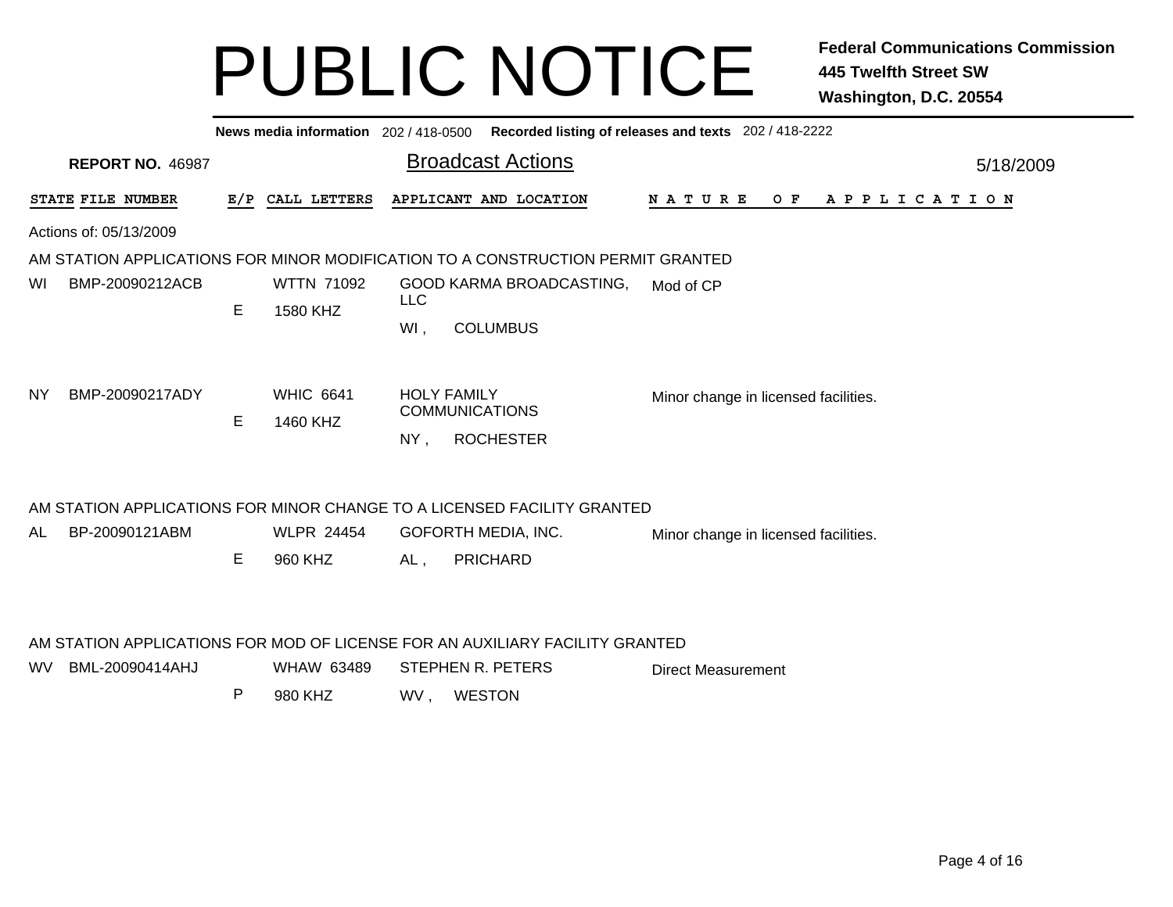|                                                                                 |                              | <b>Broadcast Actions</b>                                                                                          | 5/18/2009                                                                                                                                                                                                                                                                                          |  |  |  |  |  |  |  |
|---------------------------------------------------------------------------------|------------------------------|-------------------------------------------------------------------------------------------------------------------|----------------------------------------------------------------------------------------------------------------------------------------------------------------------------------------------------------------------------------------------------------------------------------------------------|--|--|--|--|--|--|--|
|                                                                                 |                              | N A T U R E                                                                                                       |                                                                                                                                                                                                                                                                                                    |  |  |  |  |  |  |  |
| Actions of: 05/13/2009                                                          |                              |                                                                                                                   |                                                                                                                                                                                                                                                                                                    |  |  |  |  |  |  |  |
| AM STATION APPLICATIONS FOR MINOR MODIFICATION TO A CONSTRUCTION PERMIT GRANTED |                              |                                                                                                                   |                                                                                                                                                                                                                                                                                                    |  |  |  |  |  |  |  |
|                                                                                 | <b>WTTN 71092</b>            | GOOD KARMA BROADCASTING,<br>Mod of CP<br><b>LLC</b>                                                               |                                                                                                                                                                                                                                                                                                    |  |  |  |  |  |  |  |
|                                                                                 |                              | WI,<br><b>COLUMBUS</b>                                                                                            |                                                                                                                                                                                                                                                                                                    |  |  |  |  |  |  |  |
| E                                                                               | <b>WHIC 6641</b><br>1460 KHZ | <b>HOLY FAMILY</b><br>Minor change in licensed facilities.<br><b>COMMUNICATIONS</b><br><b>ROCHESTER</b><br>$NY$ , |                                                                                                                                                                                                                                                                                                    |  |  |  |  |  |  |  |
|                                                                                 |                              |                                                                                                                   |                                                                                                                                                                                                                                                                                                    |  |  |  |  |  |  |  |
|                                                                                 | <b>WLPR 24454</b>            | GOFORTH MEDIA, INC.<br>Minor change in licensed facilities.                                                       |                                                                                                                                                                                                                                                                                                    |  |  |  |  |  |  |  |
| Е                                                                               | 960 KHZ                      | <b>PRICHARD</b><br>$AL$ ,                                                                                         |                                                                                                                                                                                                                                                                                                    |  |  |  |  |  |  |  |
| P                                                                               | <b>WHAW 63489</b><br>980 KHZ | STEPHEN R. PETERS<br><b>Direct Measurement</b><br>WV,<br><b>WESTON</b>                                            |                                                                                                                                                                                                                                                                                                    |  |  |  |  |  |  |  |
|                                                                                 | E                            | E/P CALL LETTERS<br>1580 KHZ                                                                                      | News media information 202 / 418-0500 Recorded listing of releases and texts 202 / 418-2222<br>APPLICANT AND LOCATION<br>OF APPLICATION<br>AM STATION APPLICATIONS FOR MINOR CHANGE TO A LICENSED FACILITY GRANTED<br>AM STATION APPLICATIONS FOR MOD OF LICENSE FOR AN AUXILIARY FACILITY GRANTED |  |  |  |  |  |  |  |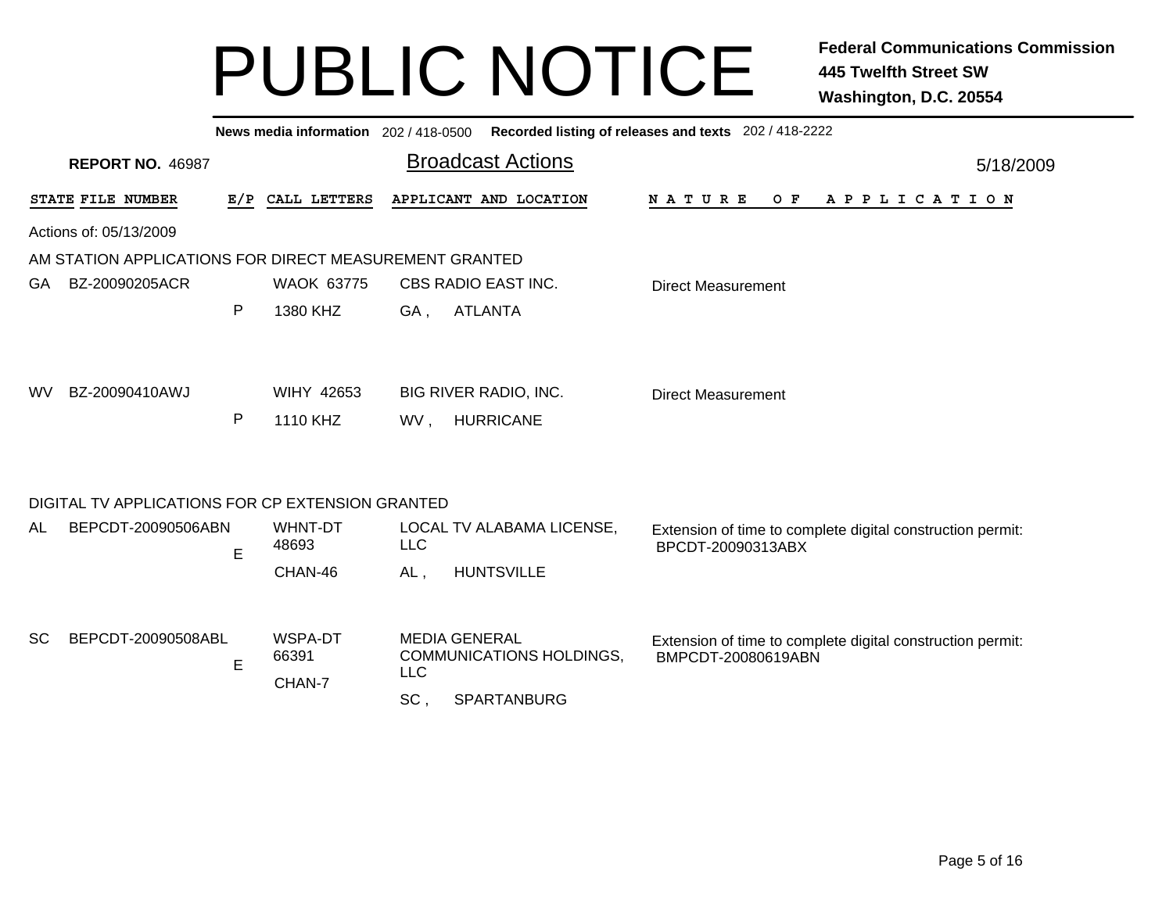| News media information 202 / 418-0500 Recorded listing of releases and texts 202 / 418-2222 |              |                            |                                                                       |                                                                                  |  |  |  |  |  |  |
|---------------------------------------------------------------------------------------------|--------------|----------------------------|-----------------------------------------------------------------------|----------------------------------------------------------------------------------|--|--|--|--|--|--|
| <b>REPORT NO. 46987</b>                                                                     |              |                            | <b>Broadcast Actions</b>                                              | 5/18/2009                                                                        |  |  |  |  |  |  |
| STATE FILE NUMBER                                                                           | E/P          | CALL LETTERS               | APPLICANT AND LOCATION                                                | <b>NATURE</b><br>O F<br>A P P L I C A T I O N                                    |  |  |  |  |  |  |
| Actions of: 05/13/2009                                                                      |              |                            |                                                                       |                                                                                  |  |  |  |  |  |  |
| AM STATION APPLICATIONS FOR DIRECT MEASUREMENT GRANTED                                      |              |                            |                                                                       |                                                                                  |  |  |  |  |  |  |
| BZ-20090205ACR<br>GA.                                                                       |              | <b>WAOK 63775</b>          | CBS RADIO EAST INC.                                                   | <b>Direct Measurement</b>                                                        |  |  |  |  |  |  |
|                                                                                             | $\mathsf{P}$ | 1380 KHZ                   | <b>ATLANTA</b><br>GA,                                                 |                                                                                  |  |  |  |  |  |  |
| BZ-20090410AWJ<br>WV.                                                                       | P            | WIHY 42653<br>1110 KHZ     | <b>BIG RIVER RADIO, INC.</b><br><b>HURRICANE</b><br>WV.               | <b>Direct Measurement</b>                                                        |  |  |  |  |  |  |
| DIGITAL TV APPLICATIONS FOR CP EXTENSION GRANTED                                            |              |                            |                                                                       |                                                                                  |  |  |  |  |  |  |
| BEPCDT-20090506ABN<br>AL.                                                                   | E            | WHNT-DT<br>48693           | LOCAL TV ALABAMA LICENSE,<br><b>LLC</b>                               | Extension of time to complete digital construction permit:<br>BPCDT-20090313ABX  |  |  |  |  |  |  |
|                                                                                             |              | CHAN-46                    | <b>HUNTSVILLE</b><br>AL,                                              |                                                                                  |  |  |  |  |  |  |
| <b>SC</b><br>BEPCDT-20090508ABL                                                             | E            | WSPA-DT<br>66391<br>CHAN-7 | <b>MEDIA GENERAL</b><br><b>COMMUNICATIONS HOLDINGS,</b><br><b>LLC</b> | Extension of time to complete digital construction permit:<br>BMPCDT-20080619ABN |  |  |  |  |  |  |
|                                                                                             |              |                            | SPARTANBURG<br>SC,                                                    |                                                                                  |  |  |  |  |  |  |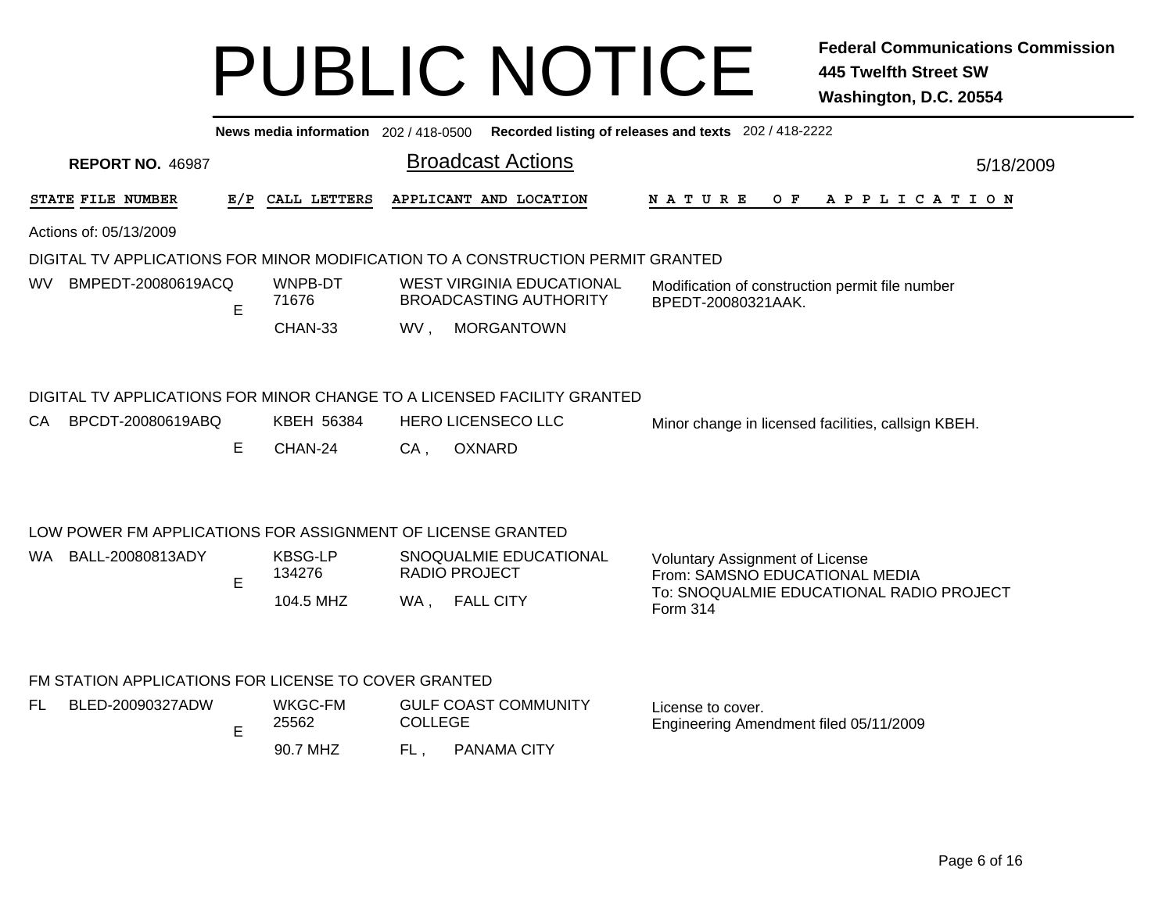|      |                                                             |     | News media information 202 / 418-0500 |     |                                                                                 | Recorded listing of releases and texts 202 / 418-2222                    |  |
|------|-------------------------------------------------------------|-----|---------------------------------------|-----|---------------------------------------------------------------------------------|--------------------------------------------------------------------------|--|
|      | <b>REPORT NO. 46987</b>                                     |     |                                       |     | <b>Broadcast Actions</b>                                                        | 5/18/2009                                                                |  |
|      | STATE FILE NUMBER                                           | E/P | CALL LETTERS                          |     | APPLICANT AND LOCATION                                                          | N A T U R E<br>O F<br>A P P L I C A T I O N                              |  |
|      | Actions of: 05/13/2009                                      |     |                                       |     |                                                                                 |                                                                          |  |
|      |                                                             |     |                                       |     | DIGITAL TV APPLICATIONS FOR MINOR MODIFICATION TO A CONSTRUCTION PERMIT GRANTED |                                                                          |  |
| WV.  | BMPEDT-20080619ACQ                                          | E   | WNPB-DT<br>71676                      |     | <b>WEST VIRGINIA EDUCATIONAL</b><br><b>BROADCASTING AUTHORITY</b>               | Modification of construction permit file number<br>BPEDT-20080321AAK.    |  |
|      |                                                             |     | CHAN-33                               | WV, | <b>MORGANTOWN</b>                                                               |                                                                          |  |
|      |                                                             |     |                                       |     | DIGITAL TV APPLICATIONS FOR MINOR CHANGE TO A LICENSED FACILITY GRANTED         |                                                                          |  |
| CA   | BPCDT-20080619ABQ                                           |     | KBEH 56384                            |     | <b>HERO LICENSECO LLC</b>                                                       | Minor change in licensed facilities, callsign KBEH.                      |  |
|      |                                                             | Е   | CHAN-24                               | CA, | OXNARD                                                                          |                                                                          |  |
|      | LOW POWER FM APPLICATIONS FOR ASSIGNMENT OF LICENSE GRANTED |     |                                       |     |                                                                                 |                                                                          |  |
| WA . | BALL-20080813ADY                                            | E   | <b>KBSG-LP</b><br>134276              |     | SNOQUALMIE EDUCATIONAL<br><b>RADIO PROJECT</b>                                  | <b>Voluntary Assignment of License</b><br>From: SAMSNO EDUCATIONAL MEDIA |  |
|      |                                                             |     | 104.5 MHZ                             |     | WA, FALL CITY                                                                   | To: SNOQUALMIE EDUCATIONAL RADIO PROJECT<br>Form 314                     |  |
|      | FM STATION APPLICATIONS FOR LICENSE TO COVER GRANTED        |     |                                       |     |                                                                                 |                                                                          |  |
| FL.  | BLED-20090327ADW                                            |     | WKGC-FM                               |     | <b>GULF COAST COMMUNITY</b>                                                     | License to cover.                                                        |  |

90.7 MHZPANAMA CITY EFL Engineering Amendment filed 05/11/2009 COLLEGE 25562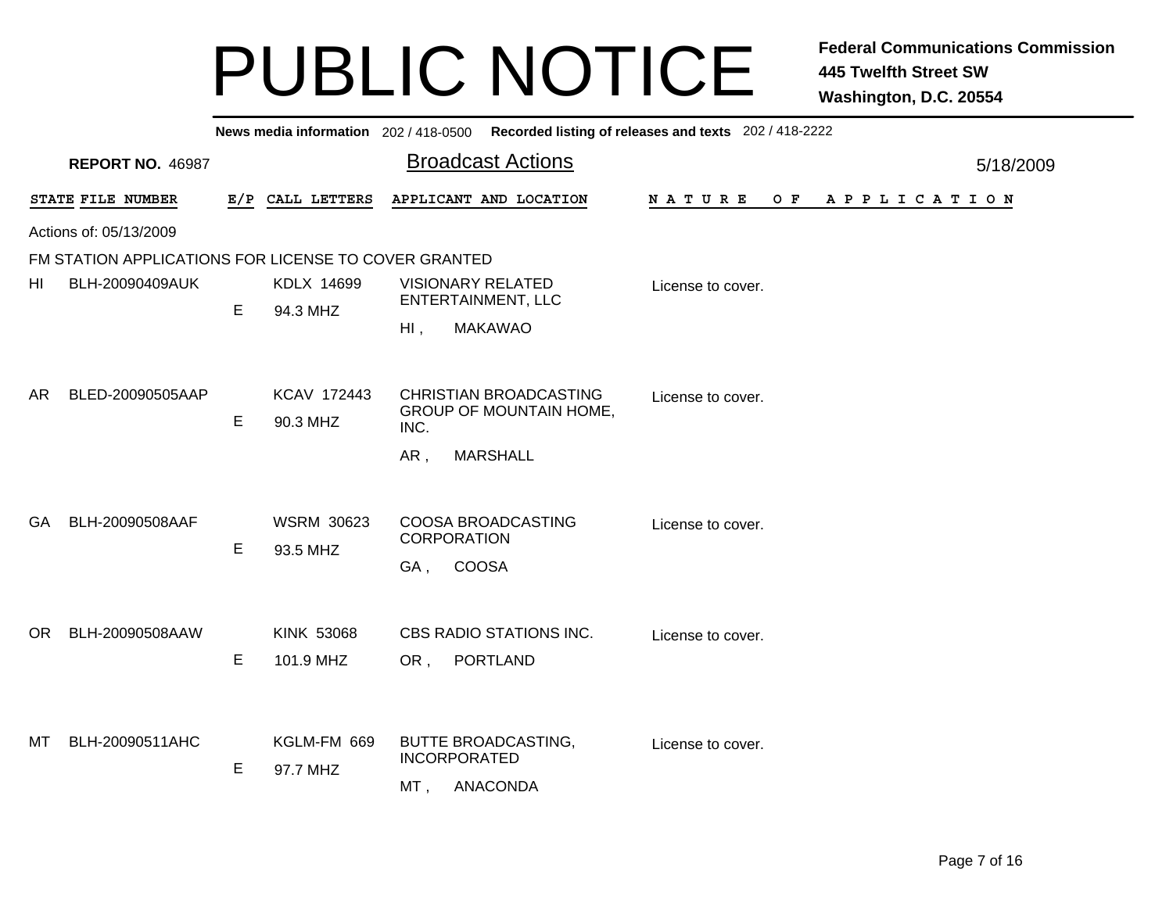|                                                      |            |                   | News media information 202 / 418-0500 Recorded listing of releases and texts 202 / 418-2222 |                                             |           |  |
|------------------------------------------------------|------------|-------------------|---------------------------------------------------------------------------------------------|---------------------------------------------|-----------|--|
| <b>REPORT NO. 46987</b>                              |            |                   | <b>Broadcast Actions</b>                                                                    |                                             | 5/18/2009 |  |
| STATE FILE NUMBER                                    | E/P        | CALL LETTERS      | APPLICANT AND LOCATION                                                                      | O F<br>A P P L I C A T I O N<br>N A T U R E |           |  |
| Actions of: 05/13/2009                               |            |                   |                                                                                             |                                             |           |  |
| FM STATION APPLICATIONS FOR LICENSE TO COVER GRANTED |            |                   |                                                                                             |                                             |           |  |
| BLH-20090409AUK<br>ΗI                                | KDLX 14699 |                   | <b>VISIONARY RELATED</b>                                                                    | License to cover.                           |           |  |
|                                                      | E          | 94.3 MHZ          |                                                                                             | <b>ENTERTAINMENT, LLC</b>                   |           |  |
|                                                      |            |                   | <b>MAKAWAO</b><br>$HI$ ,                                                                    |                                             |           |  |
| BLED-20090505AAP<br>AR.                              |            | KCAV 172443       | <b>CHRISTIAN BROADCASTING</b>                                                               | License to cover.                           |           |  |
|                                                      | Е          | 90.3 MHZ          | <b>GROUP OF MOUNTAIN HOME,</b>                                                              |                                             |           |  |
|                                                      |            |                   | INC.                                                                                        |                                             |           |  |
|                                                      |            |                   | <b>MARSHALL</b><br>AR,                                                                      |                                             |           |  |
|                                                      |            |                   |                                                                                             |                                             |           |  |
| BLH-20090508AAF<br><b>GA</b>                         |            | <b>WSRM 30623</b> | COOSA BROADCASTING                                                                          | License to cover.                           |           |  |
|                                                      | E          | 93.5 MHZ          | <b>CORPORATION</b>                                                                          |                                             |           |  |
|                                                      |            |                   | <b>COOSA</b><br>GA,                                                                         |                                             |           |  |
|                                                      |            |                   |                                                                                             |                                             |           |  |
| BLH-20090508AAW<br>OR.                               |            | <b>KINK 53068</b> | CBS RADIO STATIONS INC.                                                                     | License to cover.                           |           |  |
|                                                      | Е          | 101.9 MHZ         | <b>PORTLAND</b><br>OR,                                                                      |                                             |           |  |
|                                                      |            |                   |                                                                                             |                                             |           |  |
|                                                      |            |                   |                                                                                             |                                             |           |  |
| BLH-20090511AHC<br>MТ                                |            | KGLM-FM 669       | <b>BUTTE BROADCASTING,</b><br><b>INCORPORATED</b>                                           | License to cover.                           |           |  |
|                                                      | E          | 97.7 MHZ          | <b>ANACONDA</b>                                                                             |                                             |           |  |
|                                                      |            |                   | MT.                                                                                         |                                             |           |  |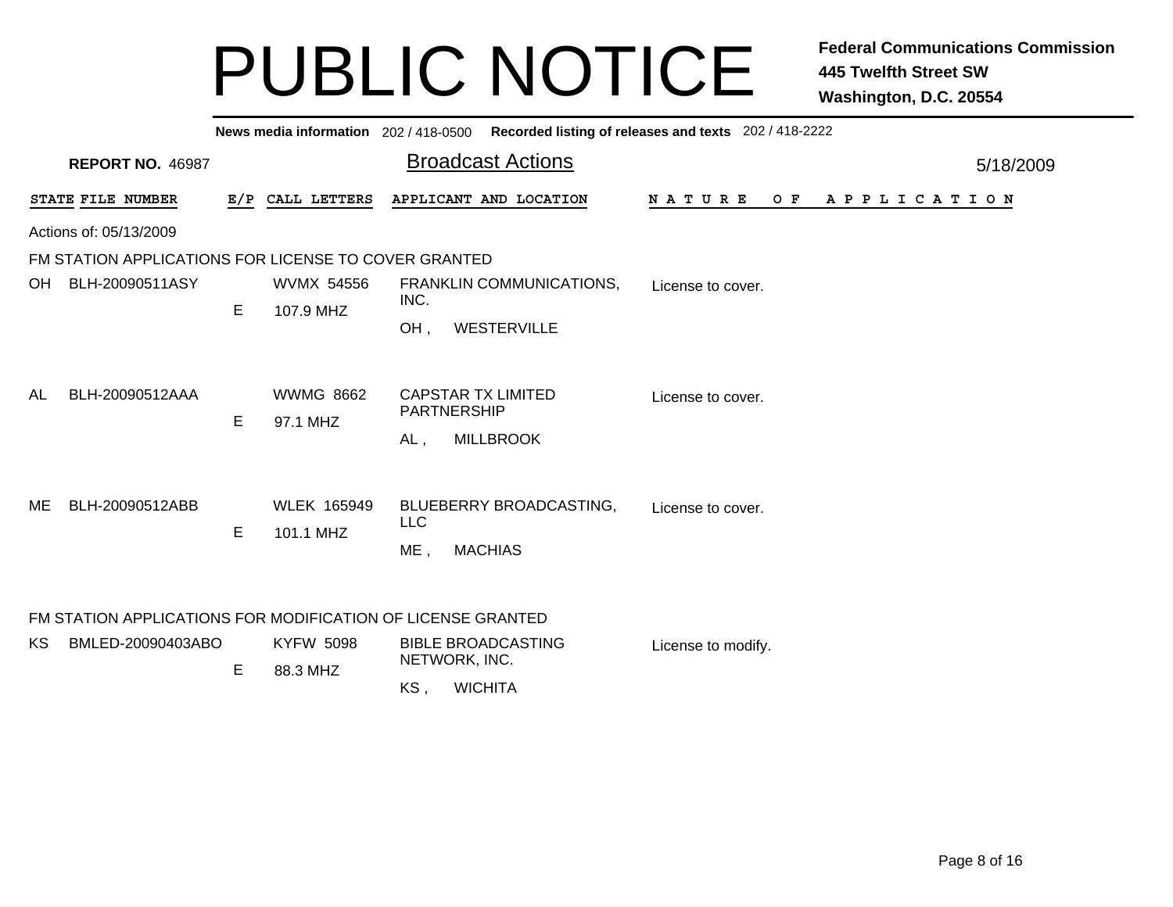|    |                                                                                  |     |                                 | News media information 202 / 418-0500 Recorded listing of releases and texts 202 / 418-2222     |           |  |  |  |  |  |  |
|----|----------------------------------------------------------------------------------|-----|---------------------------------|-------------------------------------------------------------------------------------------------|-----------|--|--|--|--|--|--|
|    | <b>REPORT NO. 46987</b>                                                          |     |                                 | <b>Broadcast Actions</b>                                                                        | 5/18/2009 |  |  |  |  |  |  |
|    | STATE FILE NUMBER                                                                | E/P | CALL LETTERS                    | APPLICANT AND LOCATION<br>N A T U R E<br>O F<br>A P P L I C A T I O N                           |           |  |  |  |  |  |  |
|    | Actions of: 05/13/2009                                                           |     |                                 |                                                                                                 |           |  |  |  |  |  |  |
|    | FM STATION APPLICATIONS FOR LICENSE TO COVER GRANTED                             |     |                                 |                                                                                                 |           |  |  |  |  |  |  |
| OH | BLH-20090511ASY                                                                  |     | <b>WVMX 54556</b>               | FRANKLIN COMMUNICATIONS,<br>License to cover.<br>INC.                                           |           |  |  |  |  |  |  |
|    |                                                                                  | Е   | 107.9 MHZ                       | OH,<br>WESTERVILLE                                                                              |           |  |  |  |  |  |  |
| AL | BLH-20090512AAA                                                                  | E   | <b>WWMG 8662</b><br>97.1 MHZ    | <b>CAPSTAR TX LIMITED</b><br>License to cover.<br><b>PARTNERSHIP</b><br><b>MILLBROOK</b><br>AL, |           |  |  |  |  |  |  |
| ME | BLH-20090512ABB                                                                  | E   | <b>WLEK 165949</b><br>101.1 MHZ | BLUEBERRY BROADCASTING,<br>License to cover.<br><b>LLC</b><br><b>MACHIAS</b><br>ME,             |           |  |  |  |  |  |  |
| KS | FM STATION APPLICATIONS FOR MODIFICATION OF LICENSE GRANTED<br>BMLED-20090403ABO | E   | <b>KYFW 5098</b><br>88.3 MHZ    | <b>BIBLE BROADCASTING</b><br>License to modify.<br>NETWORK, INC.<br>KS,<br><b>WICHITA</b>       |           |  |  |  |  |  |  |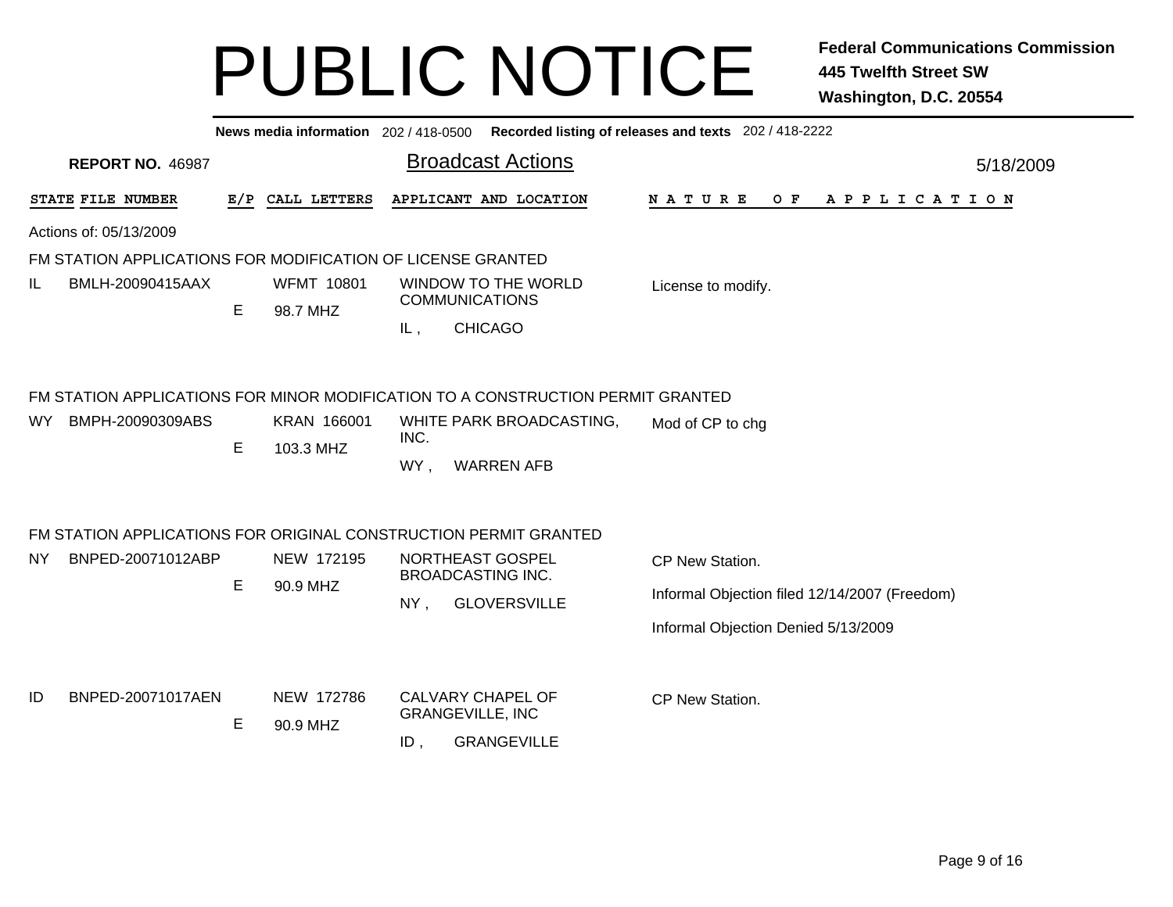|                                                                                                            |     |                               |                                                        |                                               | News media information 202 / 418-0500 Recorded listing of releases and texts 202 / 418-2222             |           |  |  |  |  |  |
|------------------------------------------------------------------------------------------------------------|-----|-------------------------------|--------------------------------------------------------|-----------------------------------------------|---------------------------------------------------------------------------------------------------------|-----------|--|--|--|--|--|
| <b>REPORT NO. 46987</b>                                                                                    |     |                               |                                                        | <b>Broadcast Actions</b>                      |                                                                                                         | 5/18/2009 |  |  |  |  |  |
| STATE FILE NUMBER                                                                                          | E/P | CALL LETTERS                  |                                                        | APPLICANT AND LOCATION                        | <b>NATURE</b><br>O F<br>A P P L I C A T I O N                                                           |           |  |  |  |  |  |
| Actions of: 05/13/2009                                                                                     |     |                               |                                                        |                                               |                                                                                                         |           |  |  |  |  |  |
| FM STATION APPLICATIONS FOR MODIFICATION OF LICENSE GRANTED                                                |     |                               |                                                        |                                               |                                                                                                         |           |  |  |  |  |  |
| IL<br>BMLH-20090415AAX                                                                                     | E   | <b>WFMT 10801</b><br>98.7 MHZ | <b>COMMUNICATIONS</b><br>IL,                           | WINDOW TO THE WORLD<br><b>CHICAGO</b>         | License to modify.                                                                                      |           |  |  |  |  |  |
| FM STATION APPLICATIONS FOR MINOR MODIFICATION TO A CONSTRUCTION PERMIT GRANTED<br>BMPH-20090309ABS<br>WY. | E   | KRAN 166001<br>103.3 MHZ      | INC.<br>WY,                                            | WHITE PARK BROADCASTING,<br><b>WARREN AFB</b> | Mod of CP to chg                                                                                        |           |  |  |  |  |  |
| FM STATION APPLICATIONS FOR ORIGINAL CONSTRUCTION PERMIT GRANTED<br>BNPED-20071012ABP<br>NY.               | E   | NEW 172195<br>90.9 MHZ        | NORTHEAST GOSPEL<br><b>BROADCASTING INC.</b><br>$NY$ , | <b>GLOVERSVILLE</b>                           | CP New Station.<br>Informal Objection filed 12/14/2007 (Freedom)<br>Informal Objection Denied 5/13/2009 |           |  |  |  |  |  |
| ID<br>BNPED-20071017AEN                                                                                    | E   | NEW 172786<br>90.9 MHZ        | CALVARY CHAPEL OF<br><b>GRANGEVILLE, INC</b><br>$ID$ , | <b>GRANGEVILLE</b>                            | CP New Station.                                                                                         |           |  |  |  |  |  |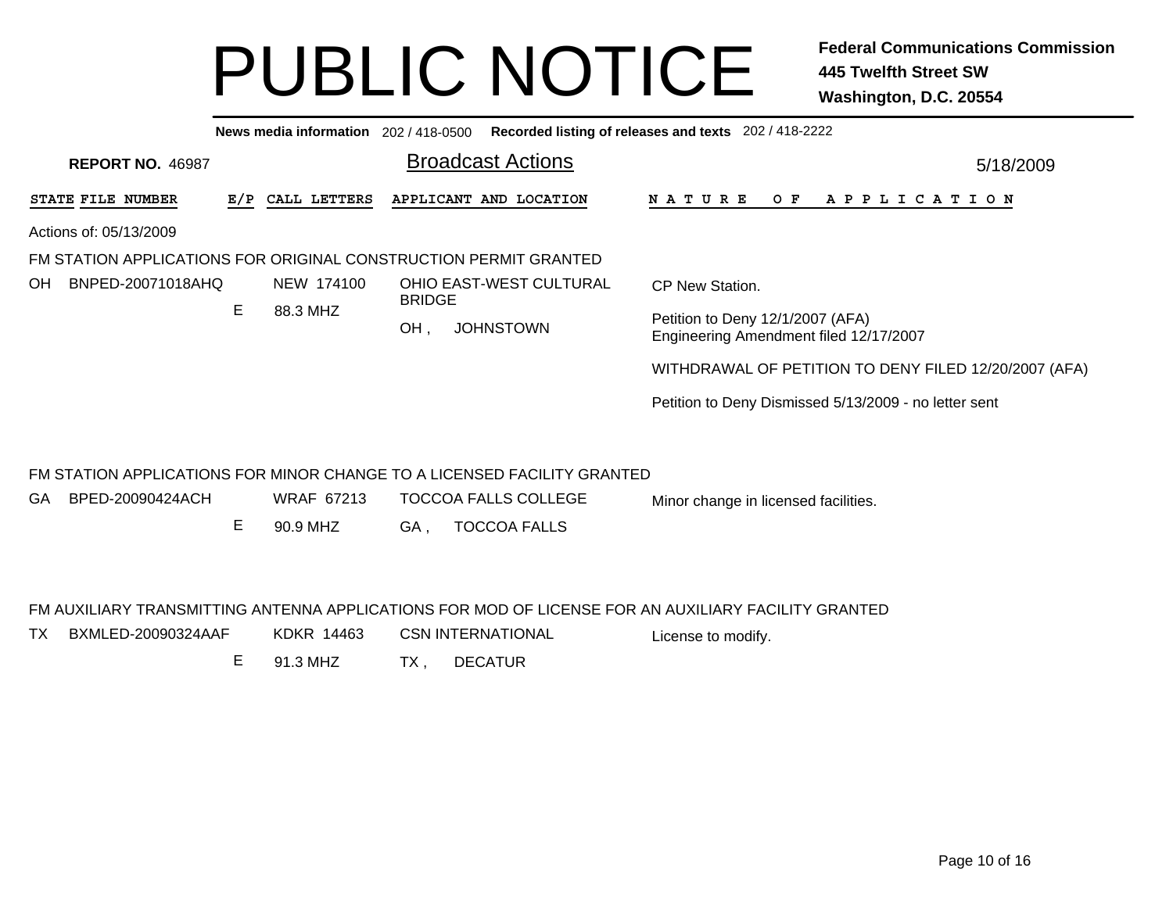|                                                                         |     | News media information 202 / 418-0500 |               |                             | Recorded listing of releases and texts 202 / 418-2222                      |
|-------------------------------------------------------------------------|-----|---------------------------------------|---------------|-----------------------------|----------------------------------------------------------------------------|
| <b>REPORT NO. 46987</b>                                                 |     |                                       |               | <b>Broadcast Actions</b>    | 5/18/2009                                                                  |
| STATE FILE NUMBER                                                       | E/P | CALL LETTERS                          |               | APPLICANT AND LOCATION      | N A T U R E<br>O F<br>A P P L I C A T I O N                                |
| Actions of: 05/13/2009                                                  |     |                                       |               |                             |                                                                            |
| FM STATION APPLICATIONS FOR ORIGINAL CONSTRUCTION PERMIT GRANTED        |     |                                       |               |                             |                                                                            |
| BNPED-20071018AHQ<br>OH.                                                |     | NEW 174100                            | <b>BRIDGE</b> | OHIO EAST-WEST CULTURAL     | CP New Station.                                                            |
|                                                                         | E   | 88.3 MHZ                              | OH.           | <b>JOHNSTOWN</b>            | Petition to Deny 12/1/2007 (AFA)<br>Engineering Amendment filed 12/17/2007 |
|                                                                         |     |                                       |               |                             | WITHDRAWAL OF PETITION TO DENY FILED 12/20/2007 (AFA)                      |
|                                                                         |     |                                       |               |                             | Petition to Deny Dismissed 5/13/2009 - no letter sent                      |
|                                                                         |     |                                       |               |                             |                                                                            |
| FM STATION APPLICATIONS FOR MINOR CHANGE TO A LICENSED FACILITY GRANTED |     |                                       |               |                             |                                                                            |
| BPED-20090424ACH<br>GA.                                                 |     | <b>WRAF 67213</b>                     |               | <b>TOCCOA FALLS COLLEGE</b> | Minor change in licensed facilities.                                       |
|                                                                         | Е   | 90.9 MHZ                              | GA .          | <b>TOCCOA FALLS</b>         |                                                                            |

#### FM AUXILIARY TRANSMITTING ANTENNA APPLICATIONS FOR MOD OF LICENSE FOR AN AUXILIARY FACILITY GRANTED

- TX BXMLED-20090324AAF KDKR 14463 CSN INTERNATIONAL License to modify.
	- E 91.3 MHZTX , DECATUR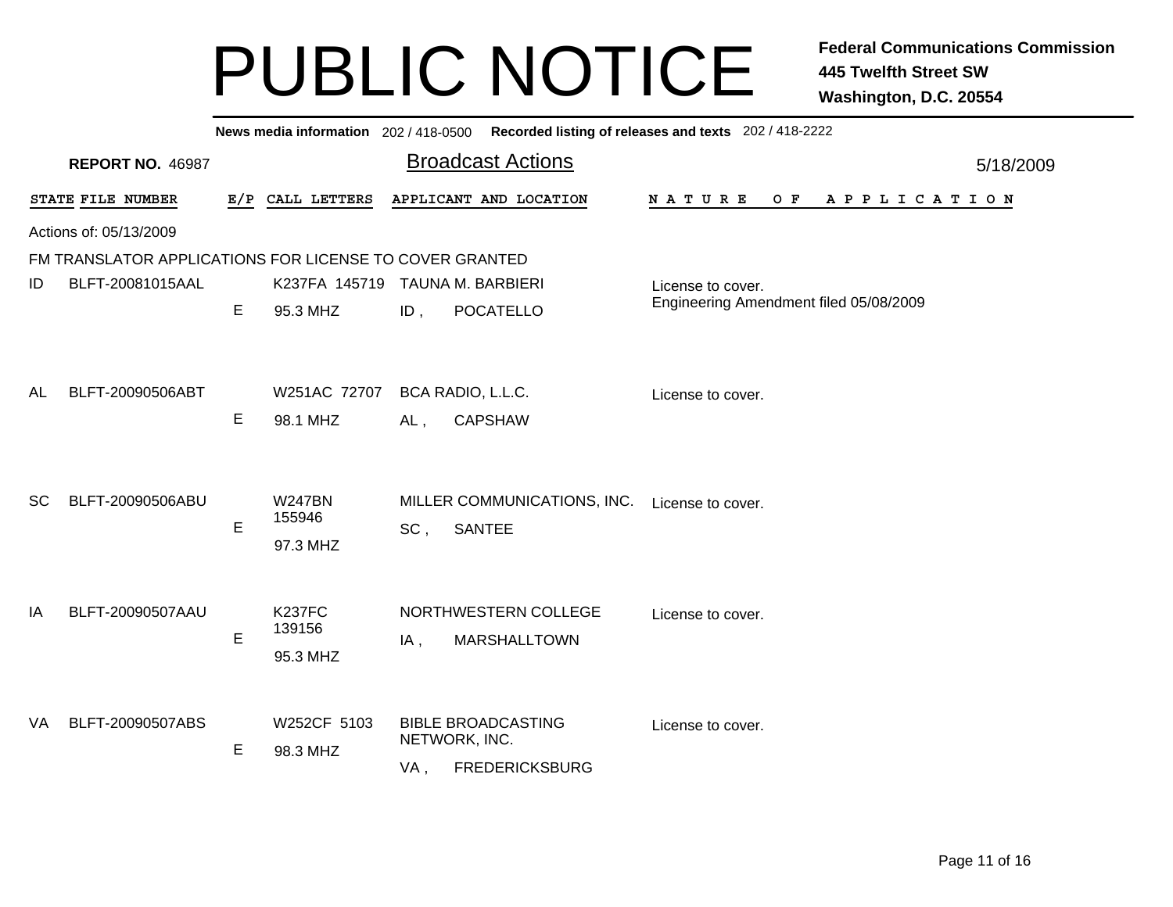|                                                         | News media information 202 / 418-0500 |                                            | Recorded listing of releases and texts 202 / 418-2222 |           |  |  |  |  |  |
|---------------------------------------------------------|---------------------------------------|--------------------------------------------|-------------------------------------------------------|-----------|--|--|--|--|--|
| <b>REPORT NO. 46987</b>                                 |                                       | <b>Broadcast Actions</b>                   |                                                       | 5/18/2009 |  |  |  |  |  |
| STATE FILE NUMBER                                       | E/P CALL LETTERS                      | APPLICANT AND LOCATION                     | <b>NATURE</b><br>O F<br>A P P L I C A T I O N         |           |  |  |  |  |  |
| Actions of: 05/13/2009                                  |                                       |                                            |                                                       |           |  |  |  |  |  |
| FM TRANSLATOR APPLICATIONS FOR LICENSE TO COVER GRANTED |                                       |                                            |                                                       |           |  |  |  |  |  |
| BLFT-20081015AAL<br>ID                                  | K237FA 145719                         | <b>TAUNA M. BARBIERI</b>                   | License to cover.                                     |           |  |  |  |  |  |
| E                                                       | 95.3 MHZ<br>$ID$ ,                    | <b>POCATELLO</b>                           | Engineering Amendment filed 05/08/2009                |           |  |  |  |  |  |
|                                                         |                                       |                                            |                                                       |           |  |  |  |  |  |
|                                                         |                                       |                                            |                                                       |           |  |  |  |  |  |
| BLFT-20090506ABT<br>AL                                  | W251AC 72707                          | BCA RADIO, L.L.C.                          | License to cover.                                     |           |  |  |  |  |  |
| E                                                       | 98.1 MHZ<br>AL,                       | <b>CAPSHAW</b>                             |                                                       |           |  |  |  |  |  |
|                                                         |                                       |                                            |                                                       |           |  |  |  |  |  |
|                                                         |                                       |                                            |                                                       |           |  |  |  |  |  |
| BLFT-20090506ABU<br><b>SC</b>                           | <b>W247BN</b><br>155946               | MILLER COMMUNICATIONS, INC.                | License to cover.                                     |           |  |  |  |  |  |
| E                                                       | SC,<br>97.3 MHZ                       | <b>SANTEE</b>                              |                                                       |           |  |  |  |  |  |
|                                                         |                                       |                                            |                                                       |           |  |  |  |  |  |
|                                                         |                                       |                                            |                                                       |           |  |  |  |  |  |
| BLFT-20090507AAU<br>IA                                  | <b>K237FC</b><br>139156               | NORTHWESTERN COLLEGE                       | License to cover.                                     |           |  |  |  |  |  |
| E                                                       | $IA$ ,                                | <b>MARSHALLTOWN</b>                        |                                                       |           |  |  |  |  |  |
|                                                         | 95.3 MHZ                              |                                            |                                                       |           |  |  |  |  |  |
|                                                         |                                       |                                            |                                                       |           |  |  |  |  |  |
| BLFT-20090507ABS<br>VA                                  | W252CF 5103                           | <b>BIBLE BROADCASTING</b><br>NETWORK, INC. | License to cover.                                     |           |  |  |  |  |  |
| E                                                       | 98.3 MHZ<br>VA,                       | <b>FREDERICKSBURG</b>                      |                                                       |           |  |  |  |  |  |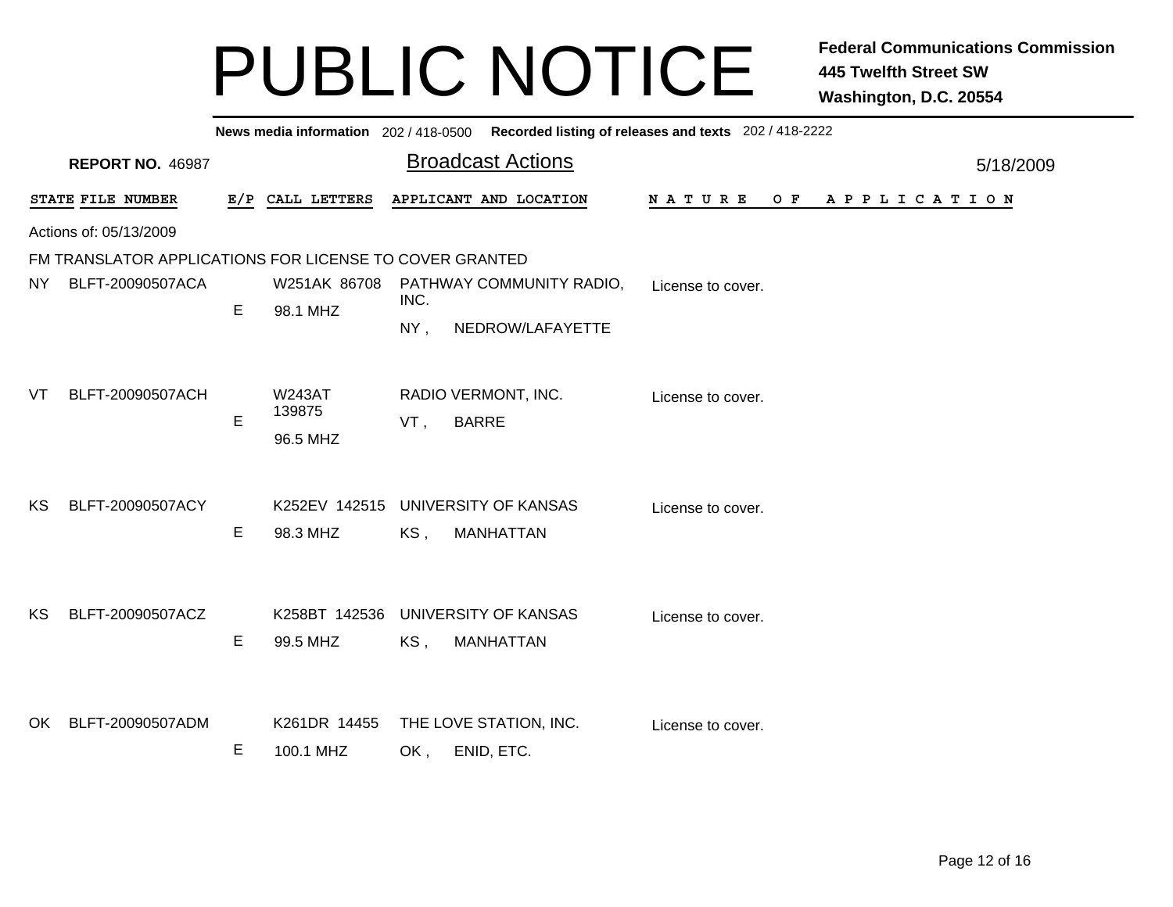|                        | News media information 202/418-0500 Recorded listing of releases and texts 202/418-2222 |   |                                     |                                                                                    |           |  |  |  |  |  |
|------------------------|-----------------------------------------------------------------------------------------|---|-------------------------------------|------------------------------------------------------------------------------------|-----------|--|--|--|--|--|
|                        | <b>REPORT NO. 46987</b>                                                                 |   |                                     | <b>Broadcast Actions</b>                                                           | 5/18/2009 |  |  |  |  |  |
|                        | STATE FILE NUMBER                                                                       |   | E/P CALL LETTERS                    | APPLICANT AND LOCATION<br>N A T U R E<br>O F<br>A P P L I C A T I O N              |           |  |  |  |  |  |
| Actions of: 05/13/2009 |                                                                                         |   |                                     |                                                                                    |           |  |  |  |  |  |
|                        | FM TRANSLATOR APPLICATIONS FOR LICENSE TO COVER GRANTED                                 |   |                                     |                                                                                    |           |  |  |  |  |  |
| NY.                    | BLFT-20090507ACA                                                                        |   |                                     | W251AK 86708 PATHWAY COMMUNITY RADIO,<br>License to cover.<br>INC.                 |           |  |  |  |  |  |
|                        |                                                                                         | E | 98.1 MHZ                            | NY,<br>NEDROW/LAFAYETTE                                                            |           |  |  |  |  |  |
| VT                     | BLFT-20090507ACH                                                                        | E | <b>W243AT</b><br>139875<br>96.5 MHZ | RADIO VERMONT, INC.<br>License to cover.<br><b>BARRE</b><br>VT,                    |           |  |  |  |  |  |
| <b>KS</b>              | BLFT-20090507ACY                                                                        | Е | 98.3 MHZ                            | K252EV 142515 UNIVERSITY OF KANSAS<br>License to cover.<br>KS,<br><b>MANHATTAN</b> |           |  |  |  |  |  |
| KS.                    | BLFT-20090507ACZ                                                                        | E | 99.5 MHZ                            | K258BT 142536 UNIVERSITY OF KANSAS<br>License to cover.<br>KS,<br><b>MANHATTAN</b> |           |  |  |  |  |  |
| OK                     | BLFT-20090507ADM                                                                        | E | K261DR 14455<br>100.1 MHZ           | THE LOVE STATION, INC.<br>License to cover.<br>ENID, ETC.<br>OK,                   |           |  |  |  |  |  |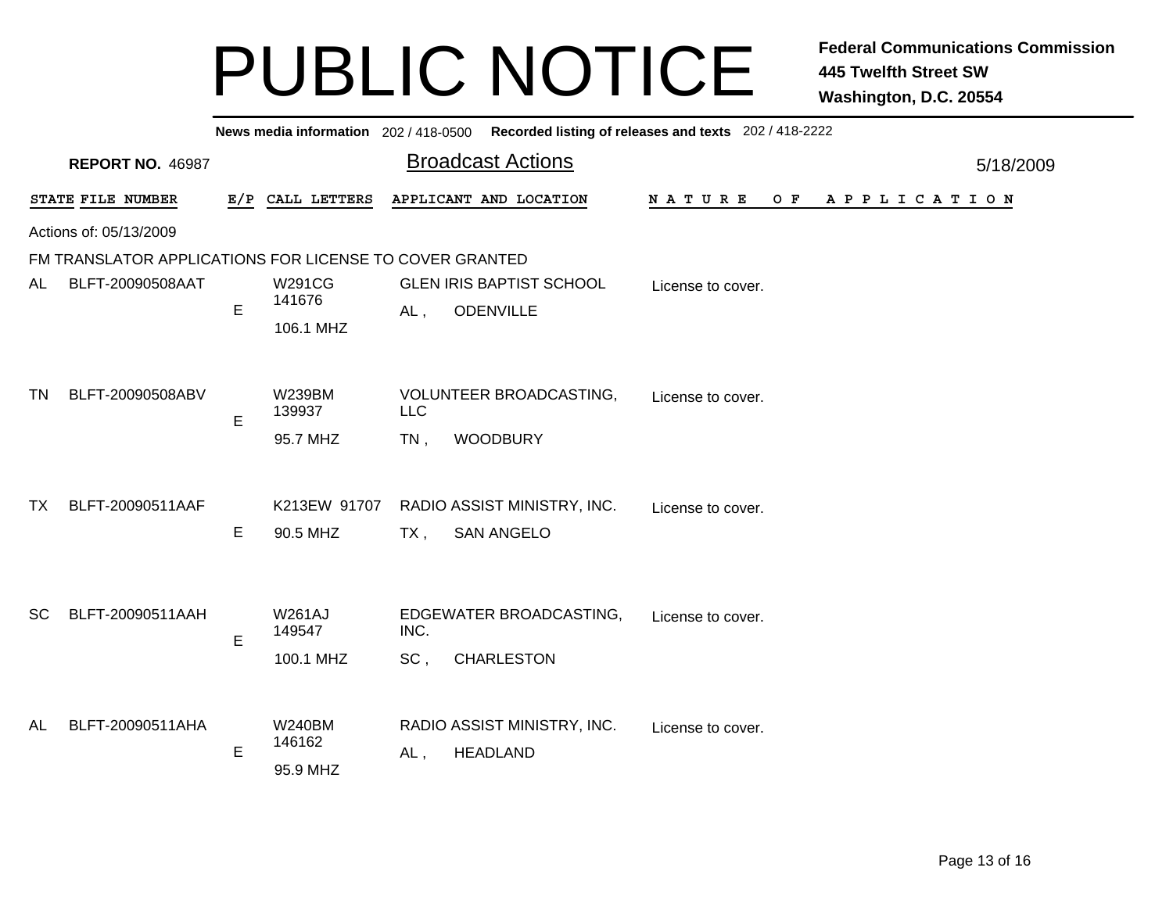|                        |                                                         |             |                         |            | News media information 202 / 418-0500 Recorded listing of releases and texts 202 / 418-2222 |                   |                       |  |  |
|------------------------|---------------------------------------------------------|-------------|-------------------------|------------|---------------------------------------------------------------------------------------------|-------------------|-----------------------|--|--|
|                        | <b>REPORT NO. 46987</b>                                 |             |                         |            | <b>Broadcast Actions</b>                                                                    |                   | 5/18/2009             |  |  |
|                        | STATE FILE NUMBER                                       |             | E/P CALL LETTERS        |            | APPLICANT AND LOCATION                                                                      | NATURE<br>O F     | A P P L I C A T I O N |  |  |
| Actions of: 05/13/2009 |                                                         |             |                         |            |                                                                                             |                   |                       |  |  |
|                        | FM TRANSLATOR APPLICATIONS FOR LICENSE TO COVER GRANTED |             |                         |            |                                                                                             |                   |                       |  |  |
| AL                     | BLFT-20090508AAT                                        | E           | <b>W291CG</b><br>141676 |            | <b>GLEN IRIS BAPTIST SCHOOL</b><br><b>ODENVILLE</b>                                         | License to cover. |                       |  |  |
|                        |                                                         |             | 106.1 MHZ               | $AL$ ,     |                                                                                             |                   |                       |  |  |
|                        |                                                         |             |                         |            |                                                                                             |                   |                       |  |  |
| TN.                    | BLFT-20090508ABV                                        | E           | W239BM<br>139937        | <b>LLC</b> | VOLUNTEER BROADCASTING,                                                                     | License to cover. |                       |  |  |
|                        |                                                         |             | 95.7 MHZ                | $TN$ ,     | <b>WOODBURY</b>                                                                             |                   |                       |  |  |
|                        |                                                         |             |                         |            |                                                                                             |                   |                       |  |  |
| TX.                    | BLFT-20090511AAF                                        |             | K213EW 91707            |            | RADIO ASSIST MINISTRY, INC.                                                                 | License to cover. |                       |  |  |
|                        |                                                         | Е           | 90.5 MHZ                | TX,        | <b>SAN ANGELO</b>                                                                           |                   |                       |  |  |
|                        |                                                         |             |                         |            |                                                                                             |                   |                       |  |  |
| <b>SC</b>              | BLFT-20090511AAH                                        |             | <b>W261AJ</b><br>149547 | INC.       | EDGEWATER BROADCASTING,                                                                     | License to cover. |                       |  |  |
|                        |                                                         | E           |                         |            |                                                                                             |                   |                       |  |  |
|                        |                                                         |             | 100.1 MHZ               | SC,        | <b>CHARLESTON</b>                                                                           |                   |                       |  |  |
| AL                     | BLFT-20090511AHA                                        |             | <b>W240BM</b>           |            | RADIO ASSIST MINISTRY, INC.                                                                 | License to cover. |                       |  |  |
|                        |                                                         | 146162<br>E |                         |            | <b>HEADLAND</b><br>AL,                                                                      |                   |                       |  |  |
|                        |                                                         |             | 95.9 MHZ                |            |                                                                                             |                   |                       |  |  |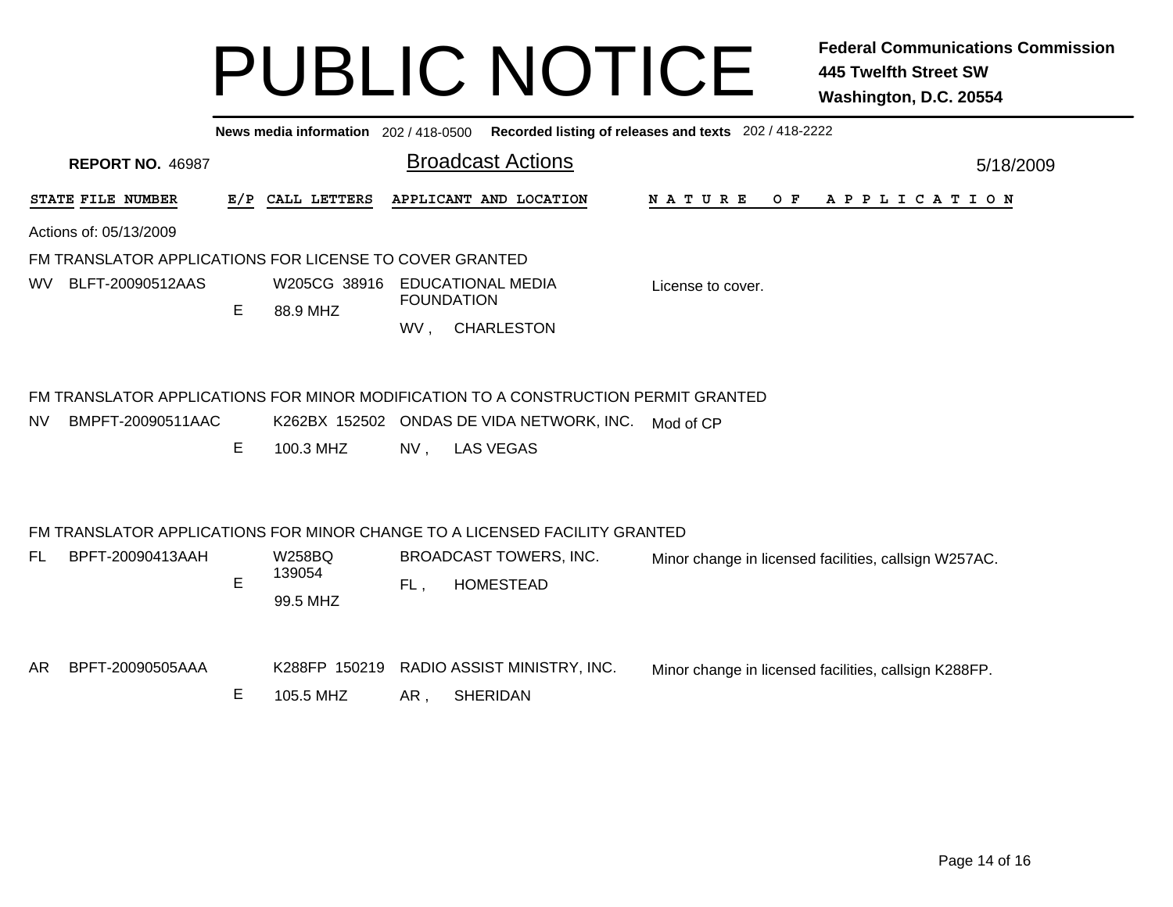**News media information** 202 / 418-0500**Recorded listing of releases and texts** 202 / 418-2222

|                                                         | <b>REPORT NO. 46987</b> |   |                                     |        | <b>Broadcast Actions</b>                                                                                                                            |                                                       | 5/18/2009 |  |  |  |
|---------------------------------------------------------|-------------------------|---|-------------------------------------|--------|-----------------------------------------------------------------------------------------------------------------------------------------------------|-------------------------------------------------------|-----------|--|--|--|
|                                                         | STATE FILE NUMBER       |   | E/P CALL LETTERS                    |        | APPLICANT AND LOCATION                                                                                                                              | <b>NATURE</b><br>O F<br>A P P L I C A T I O N         |           |  |  |  |
| Actions of: 05/13/2009                                  |                         |   |                                     |        |                                                                                                                                                     |                                                       |           |  |  |  |
| FM TRANSLATOR APPLICATIONS FOR LICENSE TO COVER GRANTED |                         |   |                                     |        |                                                                                                                                                     |                                                       |           |  |  |  |
| WV.                                                     | BLFT-20090512AAS        |   | W205CG 38916<br>88.9 MHZ            |        | <b>EDUCATIONAL MEDIA</b><br><b>FOUNDATION</b>                                                                                                       | License to cover.                                     |           |  |  |  |
|                                                         |                         | E |                                     | WV,    | <b>CHARLESTON</b>                                                                                                                                   |                                                       |           |  |  |  |
| NV.                                                     | BMPFT-20090511AAC       | Е | 100.3 MHZ                           | $NV$ , | FM TRANSLATOR APPLICATIONS FOR MINOR MODIFICATION TO A CONSTRUCTION PERMIT GRANTED<br>K262BX 152502 ONDAS DE VIDA NETWORK, INC.<br><b>LAS VEGAS</b> | Mod of CP                                             |           |  |  |  |
|                                                         |                         |   |                                     |        |                                                                                                                                                     |                                                       |           |  |  |  |
| FL.                                                     | BPFT-20090413AAH        | E | <b>W258BQ</b><br>139054<br>99.5 MHZ | FL,    | FM TRANSLATOR APPLICATIONS FOR MINOR CHANGE TO A LICENSED FACILITY GRANTED<br>BROADCAST TOWERS, INC.<br><b>HOMESTEAD</b>                            | Minor change in licensed facilities, callsign W257AC. |           |  |  |  |
| AR.                                                     | BPFT-20090505AAA        | E | K288FP 150219<br>105.5 MHZ          | AR,    | RADIO ASSIST MINISTRY, INC.<br><b>SHERIDAN</b>                                                                                                      | Minor change in licensed facilities, callsign K288FP. |           |  |  |  |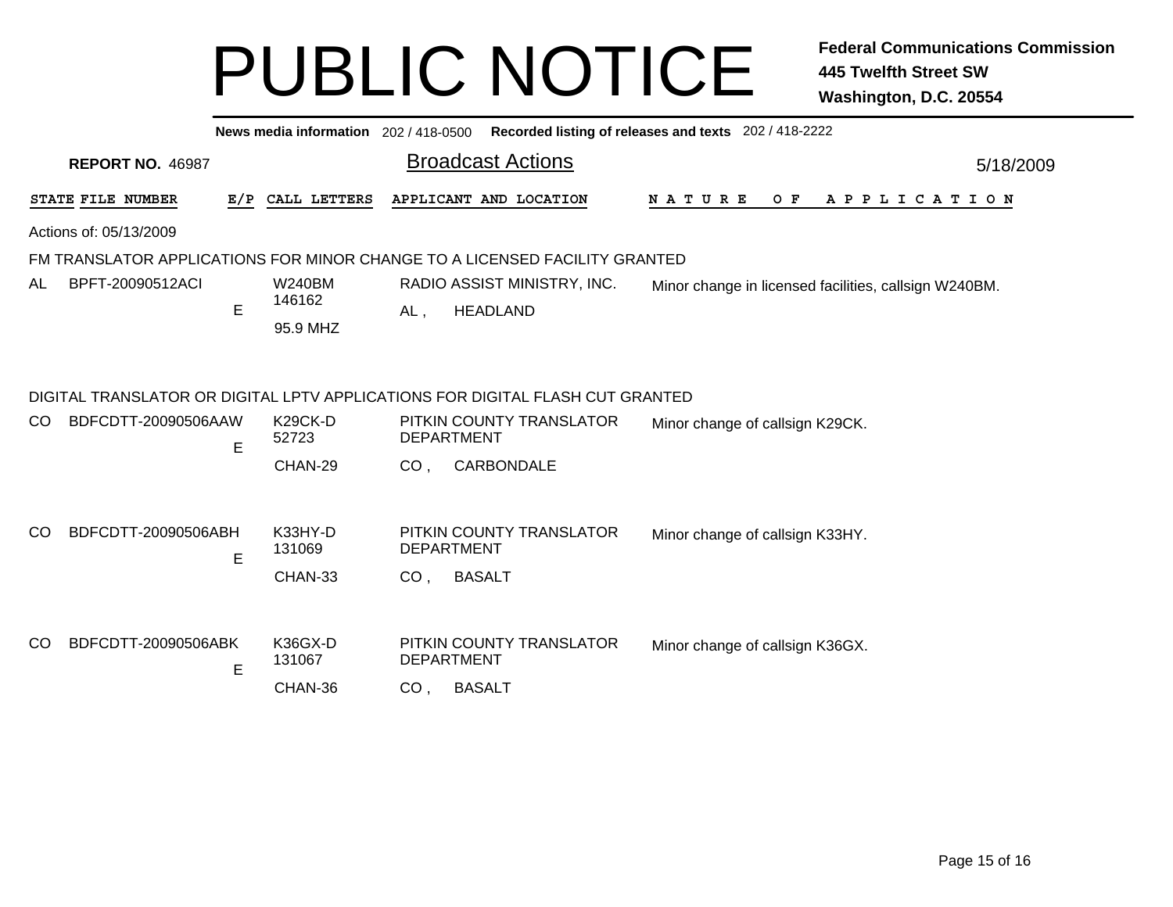|               |                         |     | News media information 202/418-0500 |                                                                                      | Recorded listing of releases and texts 202 / 418-2222                         |                                 |                                 |  |  |  |     |  |  |  |  |  |                       |  |  |  |           |
|---------------|-------------------------|-----|-------------------------------------|--------------------------------------------------------------------------------------|-------------------------------------------------------------------------------|---------------------------------|---------------------------------|--|--|--|-----|--|--|--|--|--|-----------------------|--|--|--|-----------|
|               | <b>REPORT NO. 46987</b> |     |                                     |                                                                                      | <b>Broadcast Actions</b>                                                      |                                 |                                 |  |  |  |     |  |  |  |  |  |                       |  |  |  | 5/18/2009 |
|               | STATE FILE NUMBER       | E/P | CALL LETTERS                        |                                                                                      | APPLICANT AND LOCATION                                                        | N A T U R E                     |                                 |  |  |  | O F |  |  |  |  |  | A P P L I C A T I O N |  |  |  |           |
|               | Actions of: 05/13/2009  |     |                                     |                                                                                      |                                                                               |                                 |                                 |  |  |  |     |  |  |  |  |  |                       |  |  |  |           |
|               |                         |     |                                     |                                                                                      | FM TRANSLATOR APPLICATIONS FOR MINOR CHANGE TO A LICENSED FACILITY GRANTED    |                                 |                                 |  |  |  |     |  |  |  |  |  |                       |  |  |  |           |
| AL            | BPFT-20090512ACI        |     | <b>W240BM</b><br>146162             | RADIO ASSIST MINISTRY, INC.<br>Minor change in licensed facilities, callsign W240BM. |                                                                               |                                 |                                 |  |  |  |     |  |  |  |  |  |                       |  |  |  |           |
|               |                         | E   | 95.9 MHZ                            | <b>HEADLAND</b><br>$AL$ ,                                                            |                                                                               |                                 |                                 |  |  |  |     |  |  |  |  |  |                       |  |  |  |           |
|               |                         |     |                                     |                                                                                      | DIGITAL TRANSLATOR OR DIGITAL LPTV APPLICATIONS FOR DIGITAL FLASH CUT GRANTED |                                 |                                 |  |  |  |     |  |  |  |  |  |                       |  |  |  |           |
| CO.           | BDFCDTT-20090506AAW     | E   | K29CK-D<br>52723                    |                                                                                      | PITKIN COUNTY TRANSLATOR<br><b>DEPARTMENT</b>                                 | Minor change of callsign K29CK. |                                 |  |  |  |     |  |  |  |  |  |                       |  |  |  |           |
|               |                         |     | CHAN-29                             | CO <sub>1</sub>                                                                      | CARBONDALE                                                                    |                                 |                                 |  |  |  |     |  |  |  |  |  |                       |  |  |  |           |
| <sub>CO</sub> | BDFCDTT-20090506ABH     | E   | K33HY-D<br>131069                   |                                                                                      | PITKIN COUNTY TRANSLATOR<br><b>DEPARTMENT</b>                                 | Minor change of callsign K33HY. |                                 |  |  |  |     |  |  |  |  |  |                       |  |  |  |           |
|               |                         |     | CHAN-33                             | CO <sub>1</sub>                                                                      | <b>BASALT</b>                                                                 |                                 |                                 |  |  |  |     |  |  |  |  |  |                       |  |  |  |           |
| CO.           | BDFCDTT-20090506ABK     |     | K36GX-D                             |                                                                                      | PITKIN COUNTY TRANSLATOR                                                      |                                 |                                 |  |  |  |     |  |  |  |  |  |                       |  |  |  |           |
|               |                         | Е   | 131067                              |                                                                                      | <b>DEPARTMENT</b>                                                             |                                 | Minor change of callsign K36GX. |  |  |  |     |  |  |  |  |  |                       |  |  |  |           |
|               |                         |     | CHAN-36                             | CO <sub>1</sub>                                                                      | <b>BASALT</b>                                                                 |                                 |                                 |  |  |  |     |  |  |  |  |  |                       |  |  |  |           |